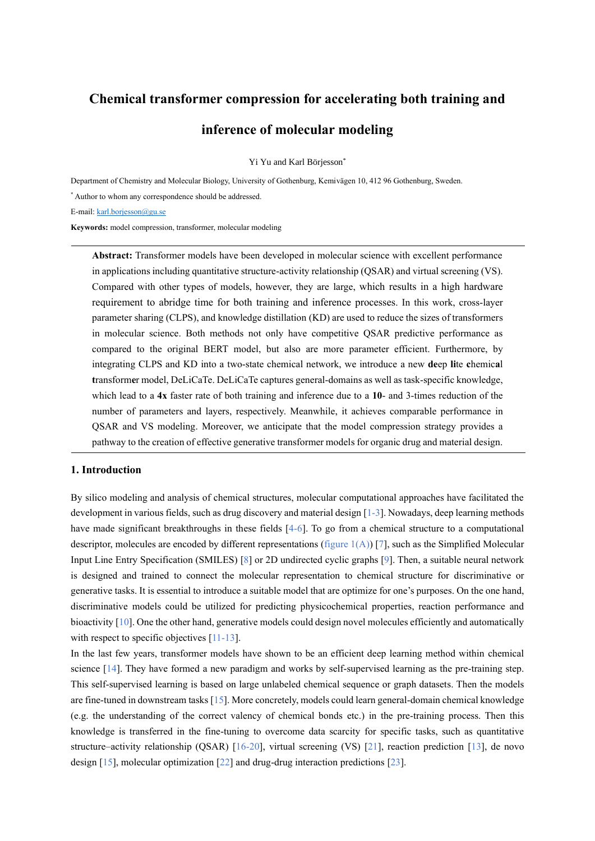# **Chemical transformer compression for accelerating both training and inference of molecular modeling**

Yi Yu and Karl Börjesson\*

Department of Chemistry and Molecular Biology, University of Gothenburg, Kemivägen 10, 412 96 Gothenburg, Sweden.

\* Author to whom any correspondence should be addressed.

E-mail: [karl.borjesson@gu.se](file:///C:/Users/yuyi6/Desktop/efficient%20parameter/writing/karl.borjesson@gu.se)

**Keywords:** model compression, transformer, molecular modeling

**Abstract:** Transformer models have been developed in molecular science with excellent performance in applications including quantitative structure-activity relationship (QSAR) and virtual screening (VS). Compared with other types of models, however, they are large, which results in a high hardware requirement to abridge time for both training and inference processes. In this work, cross-layer parameter sharing (CLPS), and knowledge distillation (KD) are used to reduce the sizes of transformers in molecular science. Both methods not only have competitive QSAR predictive performance as compared to the original BERT model, but also are more parameter efficient. Furthermore, by integrating CLPS and KD into a two-state chemical network, we introduce a new **de**ep **li**te **c**hemic**a**l **t**ransform**e**r model, DeLiCaTe. DeLiCaTe captures general-domains as well as task-specific knowledge, which lead to a **4x** faster rate of both training and inference due to a **10**- and 3-times reduction of the number of parameters and layers, respectively. Meanwhile, it achieves comparable performance in QSAR and VS modeling. Moreover, we anticipate that the model compression strategy provides a pathway to the creation of effective generative transformer models for organic drug and material design.

## **1. Introduction**

By silico modeling and analysis of chemical structures, molecular computational approaches have facilitated the development in various fields, such as drug discovery and material design [1-3]. Nowadays, deep learning methods have made significant breakthroughs in these fields [4-6]. To go from a chemical structure to a computational descriptor, molecules are encoded by different representations (figure  $1(A)$ ) [7], such as the Simplified Molecular Input Line Entry Specification (SMILES) [8] or 2D undirected cyclic graphs [9]. Then, a suitable neural network is designed and trained to connect the molecular representation to chemical structure for discriminative or generative tasks. It is essential to introduce a suitable model that are optimize for one's purposes. On the one hand, discriminative models could be utilized for predicting physicochemical properties, reaction performance and bioactivity [10]. One the other hand, generative models could design novel molecules efficiently and automatically with respect to specific objectives [11-13].

In the last few years, transformer models have shown to be an efficient deep learning method within chemical science [14]. They have formed a new paradigm and works by self-supervised learning as the pre-training step. This self-supervised learning is based on large unlabeled chemical sequence or graph datasets. Then the models are fine-tuned in downstream tasks [15]. More concretely, models could learn general-domain chemical knowledge (e.g. the understanding of the correct valency of chemical bonds etc.) in the pre-training process. Then this knowledge is transferred in the fine-tuning to overcome data scarcity for specific tasks, such as quantitative structure–activity relationship (QSAR) [16-20], virtual screening (VS) [21], reaction prediction [13], de novo design [15], molecular optimization [22] and drug-drug interaction predictions [23].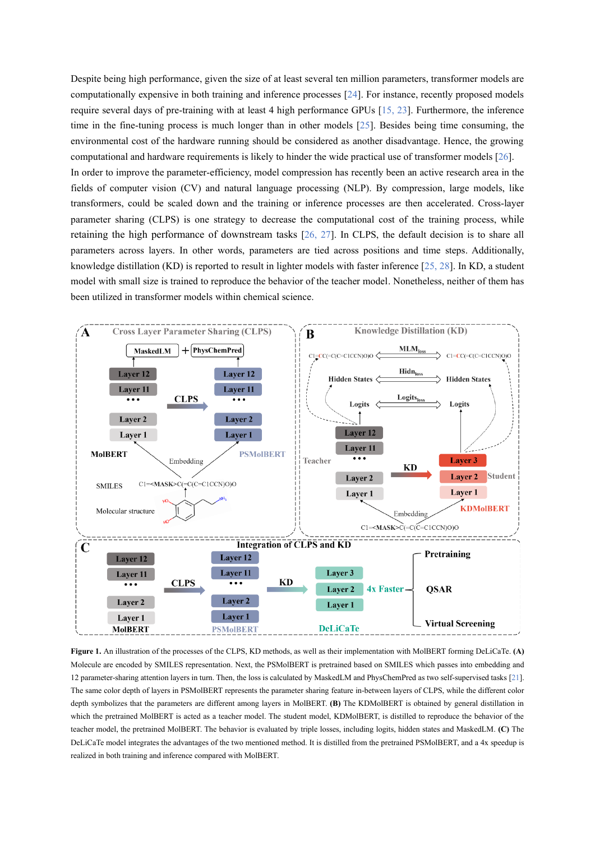Despite being high performance, given the size of at least several ten million parameters, transformer models are computationally expensive in both training and inference processes [24]. For instance, recently proposed models require several days of pre-training with at least 4 high performance GPUs [15, 23]. Furthermore, the inference time in the fine-tuning process is much longer than in other models [25]. Besides being time consuming, the environmental cost of the hardware running should be considered as another disadvantage. Hence, the growing computational and hardware requirements is likely to hinder the wide practical use of transformer models [26]. In order to improve the parameter-efficiency, model compression has recently been an active research area in the fields of computer vision (CV) and natural language processing (NLP). By compression, large models, like transformers, could be scaled down and the training or inference processes are then accelerated. Cross-layer parameter sharing (CLPS) is one strategy to decrease the computational cost of the training process, while retaining the high performance of downstream tasks [26, 27]. In CLPS, the default decision is to share all

parameters across layers. In other words, parameters are tied across positions and time steps. Additionally, knowledge distillation (KD) is reported to result in lighter models with faster inference [25, 28]. In KD, a student model with small size is trained to reproduce the behavior of the teacher model. Nonetheless, neither of them has been utilized in transformer models within chemical science.



**Figure 1.** An illustration of the processes of the CLPS, KD methods, as well as their implementation with MolBERT forming DeLiCaTe. **(A)** Molecule are encoded by SMILES representation. Next, the PSMolBERT is pretrained based on SMILES which passes into embedding and 12 parameter-sharing attention layers in turn. Then, the loss is calculated by MaskedLM and PhysChemPred as two self-supervised tasks [21]. The same color depth of layers in PSMolBERT represents the parameter sharing feature in-between layers of CLPS, while the different color depth symbolizes that the parameters are different among layers in MolBERT. **(B)** The KDMolBERT is obtained by general distillation in which the pretrained MolBERT is acted as a teacher model. The student model, KDMolBERT, is distilled to reproduce the behavior of the teacher model, the pretrained MolBERT. The behavior is evaluated by triple losses, including logits, hidden states and MaskedLM. **(C)** The DeLiCaTe model integrates the advantages of the two mentioned method. It is distilled from the pretrained PSMolBERT, and a 4x speedup is realized in both training and inference compared with MolBERT.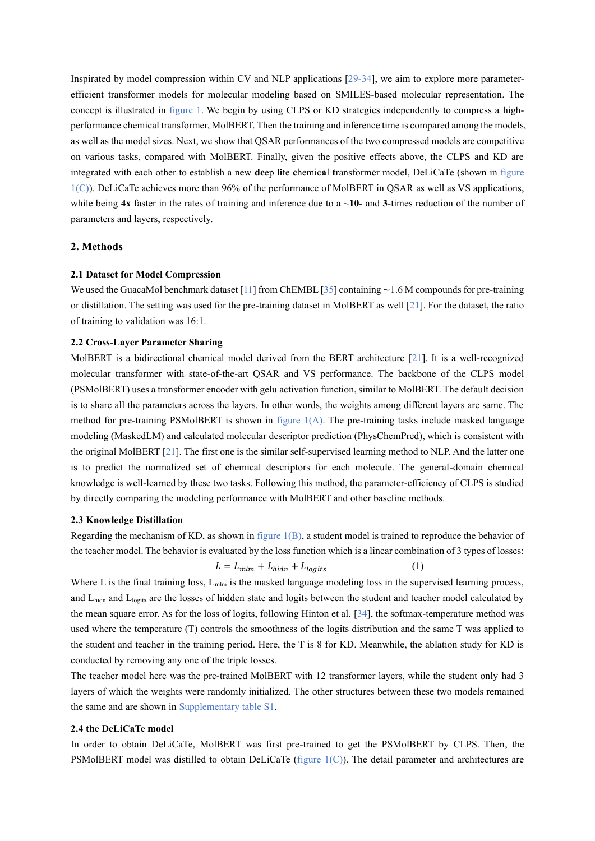Inspirated by model compression within CV and NLP applications [29-34], we aim to explore more parameterefficient transformer models for molecular modeling based on SMILES-based molecular representation. The concept is illustrated in figure 1. We begin by using CLPS or KD strategies independently to compress a highperformance chemical transformer, MolBERT. Then the training and inference time is compared among the models, as well as the model sizes. Next, we show that QSAR performances of the two compressed models are competitive on various tasks, compared with MolBERT. Finally, given the positive effects above, the CLPS and KD are integrated with each other to establish a new **de**ep **li**te **c**hemic**a**l **t**ransform**e**r model, DeLiCaTe (shown in figure  $1(C)$ ). DeLiCaTe achieves more than 96% of the performance of MolBERT in QSAR as well as VS applications, while being **4x** faster in the rates of training and inference due to a ~**10-** and **3**-times reduction of the number of parameters and layers, respectively.

# **2. Methods**

#### **2.1 Dataset for Model Compression**

We used the GuacaMol benchmark dataset [11] from ChEMBL [35] containing ∼1.6 M compounds for pre-training or distillation. The setting was used for the pre-training dataset in MolBERT as well [21]. For the dataset, the ratio of training to validation was 16:1.

#### **2.2 Cross-Layer Parameter Sharing**

MolBERT is a bidirectional chemical model derived from the BERT architecture [21]. It is a well-recognized molecular transformer with state-of-the-art QSAR and VS performance. The backbone of the CLPS model (PSMolBERT) uses a transformer encoder with gelu activation function, similar to MolBERT. The default decision is to share all the parameters across the layers. In other words, the weights among different layers are same. The method for pre-training PSMolBERT is shown in figure 1(A). The pre-training tasks include masked language modeling (MaskedLM) and calculated molecular descriptor prediction (PhysChemPred), which is consistent with the original MolBERT [21]. The first one is the similar self-supervised learning method to NLP. And the latter one is to predict the normalized set of chemical descriptors for each molecule. The general-domain chemical knowledge is well-learned by these two tasks. Following this method, the parameter-efficiency of CLPS is studied by directly comparing the modeling performance with MolBERT and other baseline methods.

#### **2.3 Knowledge Distillation**

Regarding the mechanism of KD, as shown in figure  $1(B)$ , a student model is trained to reproduce the behavior of the teacher model. The behavior is evaluated by the loss function which is a linear combination of 3 types of losses:

$$
L = L_{mlm} + L_{hidn} + L_{logits}
$$
 (1)

Where L is the final training loss,  $L_{\text{mlm}}$  is the masked language modeling loss in the supervised learning process, and L<sub>hidn</sub> and L<sub>logits</sub> are the losses of hidden state and logits between the student and teacher model calculated by the mean square error. As for the loss of logits, following Hinton et al. [34], the softmax-temperature method was used where the temperature (T) controls the smoothness of the logits distribution and the same T was applied to the student and teacher in the training period. Here, the T is 8 for KD. Meanwhile, the ablation study for KD is conducted by removing any one of the triple losses.

The teacher model here was the pre-trained MolBERT with 12 transformer layers, while the student only had 3 layers of which the weights were randomly initialized. The other structures between these two models remained the same and are shown in Supplementary table S1.

#### **2.4 the DeLiCaTe model**

In order to obtain DeLiCaTe, MolBERT was first pre-trained to get the PSMolBERT by CLPS. Then, the PSMolBERT model was distilled to obtain DeLiCaTe (figure  $1(C)$ ). The detail parameter and architectures are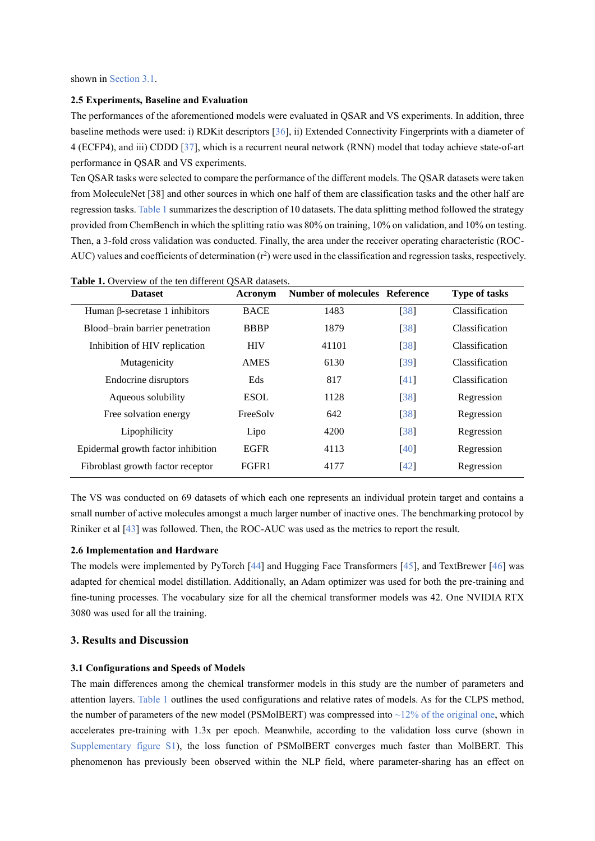shown in Section 3.1.

#### **2.5 Experiments, Baseline and Evaluation**

The performances of the aforementioned models were evaluated in QSAR and VS experiments. In addition, three baseline methods were used: i) RDKit descriptors [36], ii) Extended Connectivity Fingerprints with a diameter of 4 (ECFP4), and iii) CDDD [37], which is a recurrent neural network (RNN) model that today achieve state-of-art performance in QSAR and VS experiments.

Ten QSAR tasks were selected to compare the performance of the different models. The QSAR datasets were taken from MoleculeNet [38] and other sources in which one half of them are classification tasks and the other half are regression tasks. Table 1 summarizes the description of 10 datasets. The data splitting method followed the strategy provided from ChemBench in which the splitting ratio was 80% on training, 10% on validation, and 10% on testing. Then, a 3-fold cross validation was conducted. Finally, the area under the receiver operating characteristic (ROC-AUC) values and coefficients of determination  $(r^2)$  were used in the classification and regression tasks, respectively.

| <b>Table 1.</b> Overview of the ten different OSAR datasets.<br><b>Dataset</b> | <b>Type of tasks</b> |       |                    |                       |
|--------------------------------------------------------------------------------|----------------------|-------|--------------------|-----------------------|
| Human $\beta$ -secretase 1 inhibitors                                          | <b>BACE</b>          | 1483  | [38]               | Classification        |
| Blood-brain barrier penetration                                                | <b>BBBP</b>          | 1879  | [38]               | <b>Classification</b> |
| Inhibition of HIV replication                                                  | <b>HIV</b>           | 41101 | [38]               | Classification        |
| Mutagenicity                                                                   | <b>AMES</b>          | 6130  | [39]               | <b>Classification</b> |
| Endocrine disruptors                                                           | Eds                  | 817   | [41]               | <b>Classification</b> |
| Aqueous solubility                                                             | <b>ESOL</b>          | 1128  | $\lceil 38 \rceil$ | Regression            |
| Free solvation energy                                                          | FreeSolv             | 642   | [38]               | Regression            |
| Lipophilicity                                                                  | Lipo                 | 4200  | [38]               | Regression            |
| Epidermal growth factor inhibition                                             | <b>EGFR</b>          | 4113  | [40]               | Regression            |
| Fibroblast growth factor receptor                                              | FGFR1                | 4177  | $[42]$             | Regression            |

The VS was conducted on 69 datasets of which each one represents an individual protein target and contains a small number of active molecules amongst a much larger number of inactive ones. The benchmarking protocol by Riniker et al [43] was followed. Then, the ROC-AUC was used as the metrics to report the result.

## **2.6 Implementation and Hardware**

The models were implemented by PyTorch [44] and Hugging Face Transformers [45], and TextBrewer [46] was adapted for chemical model distillation. Additionally, an Adam optimizer was used for both the pre-training and fine-tuning processes. The vocabulary size for all the chemical transformer models was 42. One NVIDIA RTX 3080 was used for all the training.

# **3. Results and Discussion**

### **3.1 Configurations and Speeds of Models**

The main differences among the chemical transformer models in this study are the number of parameters and attention layers. Table 1 outlines the used configurations and relative rates of models. As for the CLPS method, the number of parameters of the new model (PSMolBERT) was compressed into  $\sim$ 12% of the original one, which accelerates pre-training with 1.3x per epoch. Meanwhile, according to the validation loss curve (shown in Supplementary figure S1), the loss function of PSMolBERT converges much faster than MolBERT. This phenomenon has previously been observed within the NLP field, where parameter-sharing has an effect on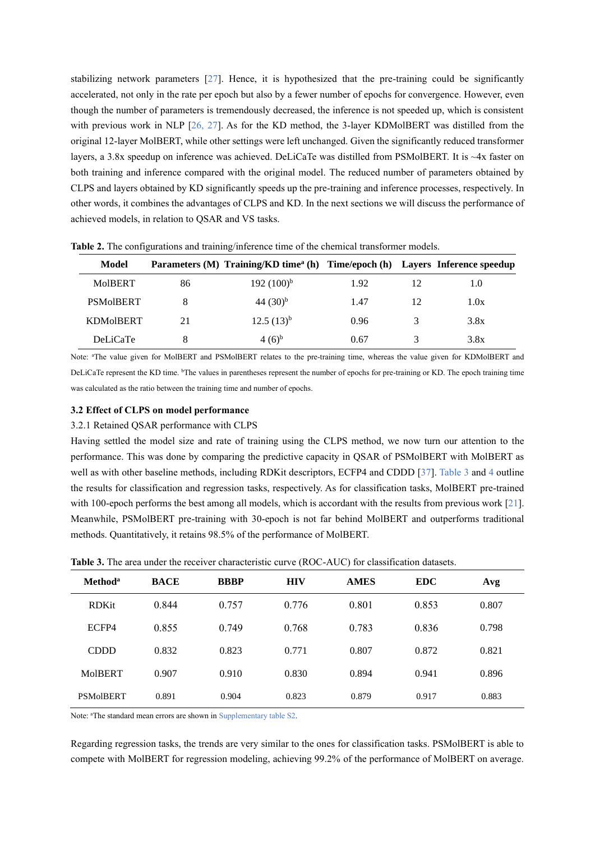stabilizing network parameters [27]. Hence, it is hypothesized that the pre-training could be significantly accelerated, not only in the rate per epoch but also by a fewer number of epochs for convergence. However, even though the number of parameters is tremendously decreased, the inference is not speeded up, which is consistent with previous work in NLP [26, 27]. As for the KD method, the 3-layer KDMolBERT was distilled from the original 12-layer MolBERT, while other settings were left unchanged. Given the significantly reduced transformer layers, a 3.8x speedup on inference was achieved. DeLiCaTe was distilled from PSMolBERT. It is ~4x faster on both training and inference compared with the original model. The reduced number of parameters obtained by CLPS and layers obtained by KD significantly speeds up the pre-training and inference processes, respectively. In other words, it combines the advantages of CLPS and KD. In the next sections we will discuss the performance of achieved models, in relation to QSAR and VS tasks.

| Model            |    | Parameters (M) Training/KD time <sup>a</sup> (h) Time/epoch (h) Layers Inference speedup |      |               |      |
|------------------|----|------------------------------------------------------------------------------------------|------|---------------|------|
| <b>MoIBERT</b>   | 86 | $192 (100)^{b}$                                                                          | 1.92 | 12            | 1.0  |
| <b>PSMoIBERT</b> |    | 44 $(30)^{b}$                                                                            | 1.47 | 12            | 1.0x |
| <b>KDMoIBERT</b> | 21 | $12.5(13)^{b}$                                                                           | 0.96 | $\mathcal{R}$ | 3.8x |
| <b>DeLiCaTe</b>  | 8  | $(4(6)^{b}$                                                                              | 0.67 | 3             | 3.8x |

**Table 2.** The configurations and training/inference time of the chemical transformer models.

Note: <sup>a</sup>The value given for MolBERT and PSMolBERT relates to the pre-training time, whereas the value given for KDMolBERT and DeLiCaTe represent the KD time. <sup>b</sup>The values in parentheses represent the number of epochs for pre-training or KD. The epoch training time was calculated as the ratio between the training time and number of epochs.

# **3.2 Effect of CLPS on model performance**

#### 3.2.1 Retained QSAR performance with CLPS

Having settled the model size and rate of training using the CLPS method, we now turn our attention to the performance. This was done by comparing the predictive capacity in QSAR of PSMolBERT with MolBERT as well as with other baseline methods, including RDKit descriptors, ECFP4 and CDDD [37]. Table 3 and 4 outline the results for classification and regression tasks, respectively. As for classification tasks, MolBERT pre-trained with 100-epoch performs the best among all models, which is accordant with the results from previous work [21]. Meanwhile, PSMolBERT pre-training with 30-epoch is not far behind MolBERT and outperforms traditional methods. Quantitatively, it retains 98.5% of the performance of MolBERT.

| Method <sup>a</sup> | <b>BACE</b> | <b>BBBP</b> | <b>HIV</b> | <b>AMES</b> | <b>EDC</b> | Avg   |
|---------------------|-------------|-------------|------------|-------------|------------|-------|
| <b>RDKit</b>        | 0.844       | 0.757       | 0.776      | 0.801       | 0.853      | 0.807 |
| ECFP4               | 0.855       | 0.749       | 0.768      | 0.783       | 0.836      | 0.798 |
| <b>CDDD</b>         | 0.832       | 0.823       | 0.771      | 0.807       | 0.872      | 0.821 |
| <b>MoIBERT</b>      | 0.907       | 0.910       | 0.830      | 0.894       | 0.941      | 0.896 |
| <b>PSMoIBERT</b>    | 0.891       | 0.904       | 0.823      | 0.879       | 0.917      | 0.883 |

**Table 3.** The area under the receiver characteristic curve (ROC-AUC) for classification datasets.

Note: <sup>a</sup>The standard mean errors are shown in Supplementary table S2.

Regarding regression tasks, the trends are very similar to the ones for classification tasks. PSMolBERT is able to compete with MolBERT for regression modeling, achieving 99.2% of the performance of MolBERT on average.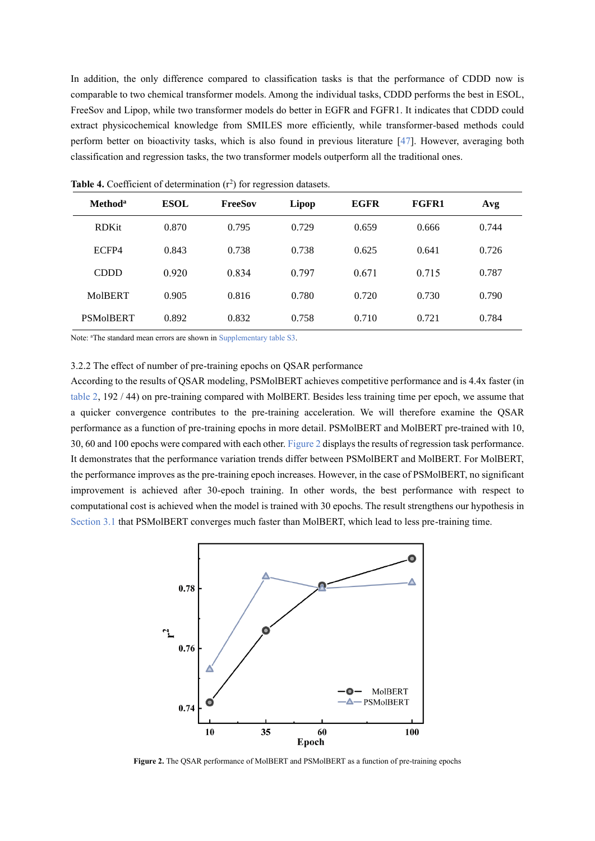In addition, the only difference compared to classification tasks is that the performance of CDDD now is comparable to two chemical transformer models. Among the individual tasks, CDDD performs the best in ESOL, FreeSov and Lipop, while two transformer models do better in EGFR and FGFR1. It indicates that CDDD could extract physicochemical knowledge from SMILES more efficiently, while transformer-based methods could perform better on bioactivity tasks, which is also found in previous literature [47]. However, averaging both classification and regression tasks, the two transformer models outperform all the traditional ones.

| Method <sup>a</sup> | <b>ESOL</b> | <b>FreeSov</b> | Lipop | <b>EGFR</b> | <b>FGFR1</b> | Avg   |
|---------------------|-------------|----------------|-------|-------------|--------------|-------|
| <b>RDKit</b>        | 0.870       | 0.795          | 0.729 | 0.659       | 0.666        | 0.744 |
| ECFP4               | 0.843       | 0.738          | 0.738 | 0.625       | 0.641        | 0.726 |
| <b>CDDD</b>         | 0.920       | 0.834          | 0.797 | 0.671       | 0.715        | 0.787 |
| <b>MoIBERT</b>      | 0.905       | 0.816          | 0.780 | 0.720       | 0.730        | 0.790 |
| <b>PSMoIBERT</b>    | 0.892       | 0.832          | 0.758 | 0.710       | 0.721        | 0.784 |

Table 4. Coefficient of determination  $(r^2)$  for regression datasets.

Note: <sup>a</sup>The standard mean errors are shown in Supplementary table S3.

## 3.2.2 The effect of number of pre-training epochs on QSAR performance

According to the results of QSAR modeling, PSMolBERT achieves competitive performance and is 4.4x faster (in table 2, 192 / 44) on pre-training compared with MolBERT. Besides less training time per epoch, we assume that a quicker convergence contributes to the pre-training acceleration. We will therefore examine the QSAR performance as a function of pre-training epochs in more detail. PSMolBERT and MolBERT pre-trained with 10, 30, 60 and 100 epochs were compared with each other. Figure 2 displays the results of regression task performance. It demonstrates that the performance variation trends differ between PSMolBERT and MolBERT. For MolBERT, the performance improves as the pre-training epoch increases. However, in the case of PSMolBERT, no significant improvement is achieved after 30-epoch training. In other words, the best performance with respect to computational cost is achieved when the model is trained with 30 epochs. The result strengthens our hypothesis in Section 3.1 that PSMolBERT converges much faster than MolBERT, which lead to less pre-training time.



Figure 2. The QSAR performance of MolBERT and PSMolBERT as a function of pre-training epochs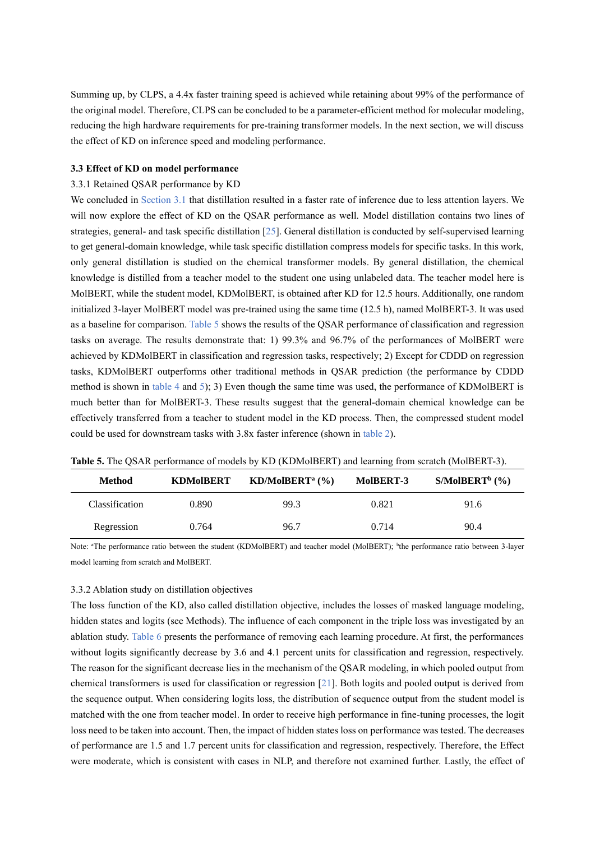Summing up, by CLPS, a 4.4x faster training speed is achieved while retaining about 99% of the performance of the original model. Therefore, CLPS can be concluded to be a parameter-efficient method for molecular modeling, reducing the high hardware requirements for pre-training transformer models. In the next section, we will discuss the effect of KD on inference speed and modeling performance.

## **3.3 Effect of KD on model performance**

#### 3.3.1 Retained QSAR performance by KD

We concluded in Section 3.1 that distillation resulted in a faster rate of inference due to less attention layers. We will now explore the effect of KD on the OSAR performance as well. Model distillation contains two lines of strategies, general- and task specific distillation [25]. General distillation is conducted by self-supervised learning to get general-domain knowledge, while task specific distillation compress models for specific tasks. In this work, only general distillation is studied on the chemical transformer models. By general distillation, the chemical knowledge is distilled from a teacher model to the student one using unlabeled data. The teacher model here is MolBERT, while the student model, KDMolBERT, is obtained after KD for 12.5 hours. Additionally, one random initialized 3-layer MolBERT model was pre-trained using the same time (12.5 h), named MolBERT-3. It was used as a baseline for comparison. Table 5 shows the results of the QSAR performance of classification and regression tasks on average. The results demonstrate that: 1) 99.3% and 96.7% of the performances of MolBERT were achieved by KDMolBERT in classification and regression tasks, respectively; 2) Except for CDDD on regression tasks, KDMolBERT outperforms other traditional methods in QSAR prediction (the performance by CDDD method is shown in table 4 and 5); 3) Even though the same time was used, the performance of KDMolBERT is much better than for MolBERT-3. These results suggest that the general-domain chemical knowledge can be effectively transferred from a teacher to student model in the KD process. Then, the compressed student model could be used for downstream tasks with 3.8x faster inference (shown in table 2).

| <b>Method</b>         | <b>KDMoIBERT</b> | $KD/MolBERTa$ (%) | MoIBERT-3 | $S/MolBERTb$ (%) |
|-----------------------|------------------|-------------------|-----------|------------------|
| <b>Classification</b> | 0.890            | 99.3              | 0.821     | 91.6             |
| Regression            | 0.764            | 96.7              | 0.714     | 90.4             |

**Table 5.** The QSAR performance of models by KD (KDMolBERT) and learning from scratch (MolBERT-3).

Note: "The performance ratio between the student (KDMolBERT) and teacher model (MolBERT); <sup>b</sup>the performance ratio between 3-layer model learning from scratch and MolBERT.

#### 3.3.2 Ablation study on distillation objectives

The loss function of the KD, also called distillation objective, includes the losses of masked language modeling, hidden states and logits (see Methods). The influence of each component in the triple loss was investigated by an ablation study. Table 6 presents the performance of removing each learning procedure. At first, the performances without logits significantly decrease by 3.6 and 4.1 percent units for classification and regression, respectively. The reason for the significant decrease lies in the mechanism of the QSAR modeling, in which pooled output from chemical transformers is used for classification or regression [21]. Both logits and pooled output is derived from the sequence output. When considering logits loss, the distribution of sequence output from the student model is matched with the one from teacher model. In order to receive high performance in fine-tuning processes, the logit loss need to be taken into account. Then, the impact of hidden states loss on performance was tested. The decreases of performance are 1.5 and 1.7 percent units for classification and regression, respectively. Therefore, the Effect were moderate, which is consistent with cases in NLP, and therefore not examined further. Lastly, the effect of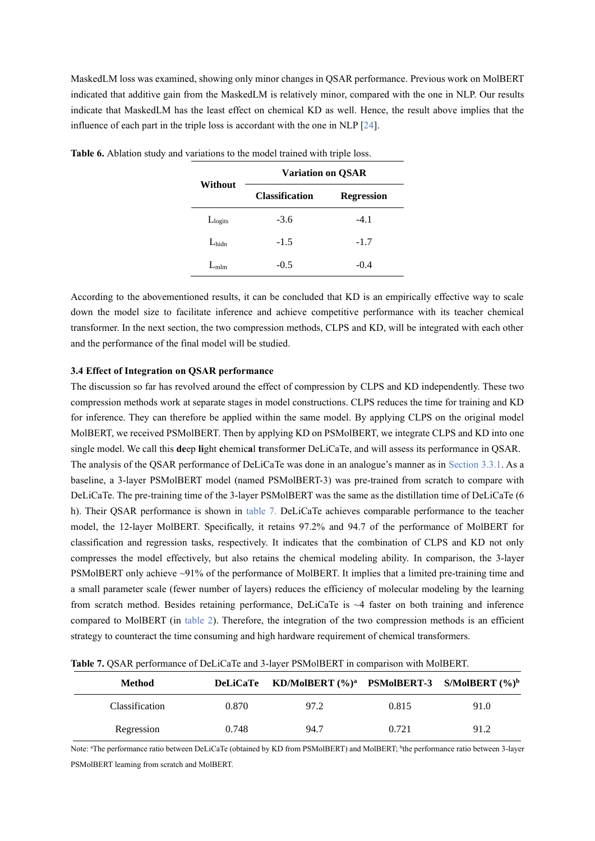MaskedLM loss was examined, showing only minor changes in QSAR performance. Previous work on MolBERT indicated that additive gain from the MaskedLM is relatively minor, compared with the one in NLP. Our results indicate that MaskedLM has the least effect on chemical KD as well. Hence, the result above implies that the influence of each part in the triple loss is accordant with the one in NLP [24].

| Without             | <b>Variation on QSAR</b> |                   |  |  |  |
|---------------------|--------------------------|-------------------|--|--|--|
|                     | <b>Classification</b>    | <b>Regression</b> |  |  |  |
| L <sub>logits</sub> | $-3.6$                   | $-4.1$            |  |  |  |
| $L_{\text{hidn}}$   | $-1.5$                   | $-1.7$            |  |  |  |
| $L_{mlm}$           | $-0.5$                   | $-0.4$            |  |  |  |

Table 6. Ablation study and variations to the model trained with triple loss.

According to the abovementioned results, it can be concluded that KD is an empirically effective way to scale down the model size to facilitate inference and achieve competitive performance with its teacher chemical transformer. In the next section, the two compression methods, CLPS and KD, will be integrated with each other and the performance of the final model will be studied.

# **3.4 Effect of Integration on QSAR performance**

The discussion so far has revolved around the effect of compression by CLPS and KD independently. These two compression methods work at separate stages in model constructions. CLPS reduces the time for training and KD for inference. They can therefore be applied within the same model. By applying CLPS on the original model MolBERT, we received PSMolBERT. Then by applying KD on PSMolBERT, we integrate CLPS and KD into one single model. We call this **de**ep **li**ght **c**hemic**a**l **t**ransform**e**r DeLiCaTe, and will assess its performance in QSAR. The analysis of the QSAR performance of DeLiCaTe was done in an analogue's manner as in Section 3.3.1. As a baseline, a 3-layer PSMolBERT model (named PSMolBERT-3) was pre-trained from scratch to compare with DeLiCaTe. The pre-training time of the 3-layer PSMolBERT was the same as the distillation time of DeLiCaTe (6 h). Their QSAR performance is shown in table 7. DeLiCaTe achieves comparable performance to the teacher model, the 12-layer MolBERT. Specifically, it retains 97.2% and 94.7 of the performance of MolBERT for classification and regression tasks, respectively. It indicates that the combination of CLPS and KD not only compresses the model effectively, but also retains the chemical modeling ability. In comparison, the 3-layer PSMolBERT only achieve ~91% of the performance of MolBERT. It implies that a limited pre-training time and a small parameter scale (fewer number of layers) reduces the efficiency of molecular modeling by the learning from scratch method. Besides retaining performance, DeLiCaTe is ~4 faster on both training and inference compared to MolBERT (in table 2). Therefore, the integration of the two compression methods is an efficient strategy to counteract the time consuming and high hardware requirement of chemical transformers.

|  |  |  | <b>Table 7.</b> OSAR performance of DeLiCaTe and 3-layer PSMoIBERT in comparison with MoIBERT. |  |  |  |
|--|--|--|------------------------------------------------------------------------------------------------|--|--|--|
|  |  |  |                                                                                                |  |  |  |

| <b>Method</b>  |       | DeLiCaTe KD/MolBERT (%) <sup>a</sup> PSMolBERT-3 S/MolBERT (%) <sup>b</sup> |       |      |
|----------------|-------|-----------------------------------------------------------------------------|-------|------|
| Classification | 0.870 | 97.2                                                                        | 0.815 | 91.0 |
| Regression     | 0.748 | 94.7                                                                        | 0.721 | 91.2 |

Note: "The performance ratio between DeLiCaTe (obtained by KD from PSMolBERT) and MolBERT; <sup>b</sup>the performance ratio between 3-layer PSMolBERT learning from scratch and MolBERT.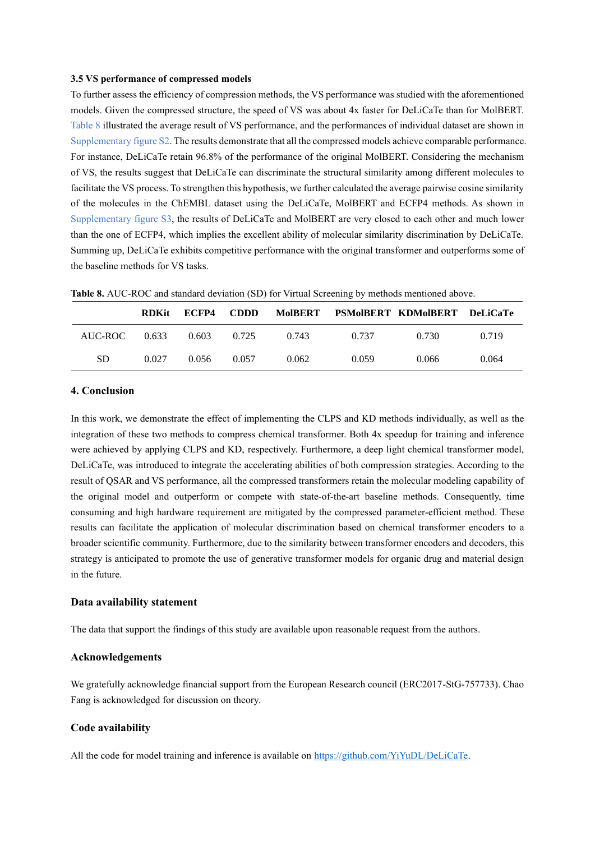## **3.5 VS performance of compressed models**

To further assess the efficiency of compression methods, the VS performance was studied with the aforementioned models. Given the compressed structure, the speed of VS was about 4x faster for DeLiCaTe than for MolBERT. Table 8 illustrated the average result of VS performance, and the performances of individual dataset are shown in Supplementary figure S2. The results demonstrate that all the compressed models achieve comparable performance. For instance, DeLiCaTe retain 96.8% of the performance of the original MolBERT. Considering the mechanism of VS, the results suggest that DeLiCaTe can discriminate the structural similarity among different molecules to facilitate the VS process. To strengthen this hypothesis, we further calculated the average pairwise cosine similarity of the molecules in the ChEMBL dataset using the DeLiCaTe, MolBERT and ECFP4 methods. As shown in Supplementary figure S3, the results of DeLiCaTe and MolBERT are very closed to each other and much lower than the one of ECFP4, which implies the excellent ability of molecular similarity discrimination by DeLiCaTe. Summing up, DeLiCaTe exhibits competitive performance with the original transformer and outperforms some of the baseline methods for VS tasks.

|         | <b>RDKit</b> | ECFP4 | <b>CDDD</b> |       |       | MoIBERT PSMoIBERT KDMoIBERT DeLiCaTe |       |
|---------|--------------|-------|-------------|-------|-------|--------------------------------------|-------|
| AUC-ROC | 0.633        | 0.603 | 0.725       | 0.743 | 0.737 | 0.730                                | 0.719 |
| SD.     | 0.027        | 0.056 | 0.057       | 0.062 | 0.059 | 0.066                                | 0.064 |

**Table 8.** AUC-ROC and standard deviation (SD) for Virtual Screening by methods mentioned above.

# **4. Conclusion**

In this work, we demonstrate the effect of implementing the CLPS and KD methods individually, as well as the integration of these two methods to compress chemical transformer. Both 4x speedup for training and inference were achieved by applying CLPS and KD, respectively. Furthermore, a deep light chemical transformer model, DeLiCaTe, was introduced to integrate the accelerating abilities of both compression strategies. According to the result of QSAR and VS performance, all the compressed transformers retain the molecular modeling capability of the original model and outperform or compete with state-of-the-art baseline methods. Consequently, time consuming and high hardware requirement are mitigated by the compressed parameter-efficient method. These results can facilitate the application of molecular discrimination based on chemical transformer encoders to a broader scientific community. Furthermore, due to the similarity between transformer encoders and decoders, this strategy is anticipated to promote the use of generative transformer models for organic drug and material design in the future.

#### **Data availability statement**

The data that support the findings of this study are available upon reasonable request from the authors.

# **Acknowledgements**

We gratefully acknowledge financial support from the European Research council (ERC2017-StG-757733). Chao Fang is acknowledged for discussion on theory.

# **Code availability**

All the code for model training and inference is available on [https://github.com/YiYuDL/DeLiCaTe.](https://github.com/YiYuDL/DeLiCaTe)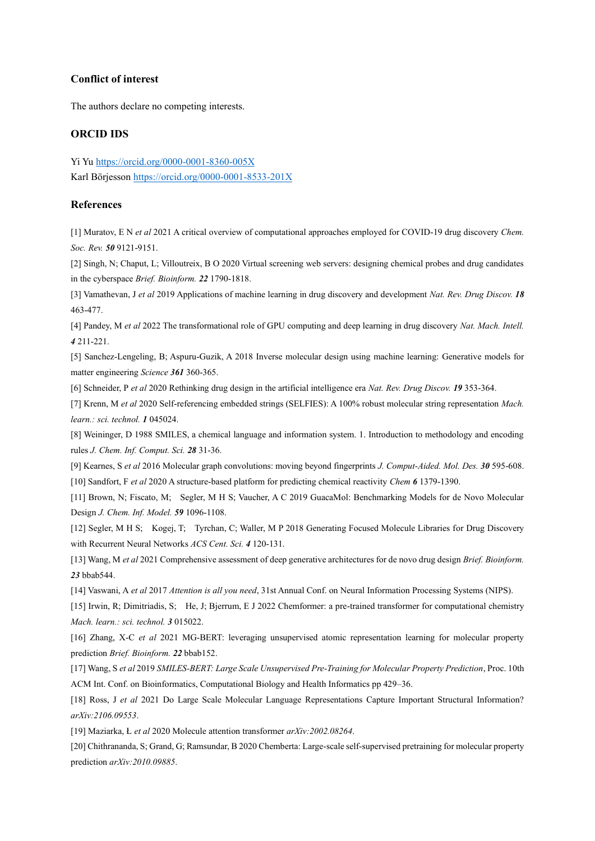# **Conflict of interest**

The authors declare no competing interests.

## **ORCID IDS**

Yi Yu<https://orcid.org/0000-0001-8360-005X> Karl Börjesson <https://orcid.org/0000-0001-8533-201X>

# **References**

[1] Muratov, E N *et al* 2021 A critical overview of computational approaches employed for COVID-19 drug discovery *Chem. Soc. Rev. 50* 9121-9151.

[2] Singh, N; Chaput, L; Villoutreix, B O 2020 Virtual screening web servers: designing chemical probes and drug candidates in the cyberspace *Brief. Bioinform. 22* 1790-1818.

[3] Vamathevan, J *et al* 2019 Applications of machine learning in drug discovery and development *Nat. Rev. Drug Discov. 18* 463-477.

[4] Pandey, M *et al* 2022 The transformational role of GPU computing and deep learning in drug discovery *Nat. Mach. Intell. 4* 211-221.

[5] Sanchez-Lengeling, B; Aspuru-Guzik, A 2018 Inverse molecular design using machine learning: Generative models for matter engineering *Science 361* 360-365.

[6] Schneider, P *et al* 2020 Rethinking drug design in the artificial intelligence era *Nat. Rev. Drug Discov. 19* 353-364.

[7] Krenn, M *et al* 2020 Self-referencing embedded strings (SELFIES): A 100% robust molecular string representation *Mach. learn.: sci. technol. 1* 045024.

[8] Weininger, D 1988 SMILES, a chemical language and information system. 1. Introduction to methodology and encoding rules *J. Chem. Inf. Comput. Sci. 28* 31-36.

[9] Kearnes, S *et al* 2016 Molecular graph convolutions: moving beyond fingerprints *J. Comput-Aided. Mol. Des. 30* 595-608. [10] Sandfort, F *et al* 2020 A structure-based platform for predicting chemical reactivity *Chem 6* 1379-1390.

[11] Brown, N; Fiscato, M; Segler, M H S; Vaucher, A C 2019 GuacaMol: Benchmarking Models for de Novo Molecular Design *J. Chem. Inf. Model. 59* 1096-1108.

[12] Segler, M H S; Kogej, T; Tyrchan, C; Waller, M P 2018 Generating Focused Molecule Libraries for Drug Discovery with Recurrent Neural Networks *ACS Cent. Sci. 4* 120-131.

[13] Wang, M *et al* 2021 Comprehensive assessment of deep generative architectures for de novo drug design *Brief. Bioinform. 23* bbab544.

[14] Vaswani, A *et al* 2017 *Attention is all you need*, 31st Annual Conf. on Neural Information Processing Systems (NIPS).

[15] Irwin, R; Dimitriadis, S; He, J; Bjerrum, E J 2022 Chemformer: a pre-trained transformer for computational chemistry *Mach. learn.: sci. technol. 3* 015022.

[16] Zhang, X-C *et al* 2021 MG-BERT: leveraging unsupervised atomic representation learning for molecular property prediction *Brief. Bioinform. 22* bbab152.

[17] Wang, S *et al* 2019 *SMILES-BERT: Large Scale Unsupervised Pre-Training for Molecular Property Prediction*, Proc. 10th ACM Int. Conf. on Bioinformatics, Computational Biology and Health Informatics pp 429–36.

[18] Ross, J *et al* 2021 Do Large Scale Molecular Language Representations Capture Important Structural Information? *arXiv:2106.09553*.

[19] Maziarka, Ł *et al* 2020 Molecule attention transformer *arXiv:2002.08264*.

[20] Chithrananda, S; Grand, G; Ramsundar, B 2020 Chemberta: Large-scale self-supervised pretraining for molecular property prediction *arXiv:2010.09885*.